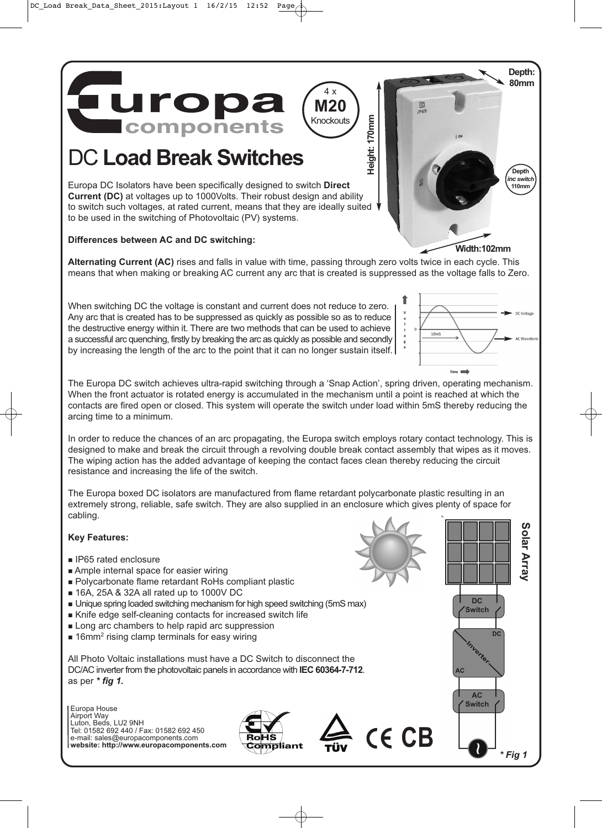**uropa components** 

# DC **Load Break Switches**

Europa DC Isolators have been specifically designed to switch **Direct Current (DC)** at voltages up to 1000Volts. Their robust design and ability to switch such voltages, at rated current, means that they are ideally suited to be used in the switching of Photovoltaic (PV) systems.

#### **Differences between AC and DC switching:**

**Alternating Current (AC)** rises and falls in value with time, passing through zero volts twice in each cycle. This means that when making or breaking AC current any arc that is created is suppressed as the voltage falls to Zero.

**Height: 170mm**

**Height: 170mm** 

回

4 x **M20 Knockouts** 

When switching DC the voltage is constant and current does not reduce to zero. Any arc that is created has to be suppressed as quickly as possible so as to reduce the destructive energy within it. There are two methods that can be used to achieve a successful arc quenching, firstly by breaking the arc as quickly as possible and secondly by increasing the length of the arc to the point that it can no longer sustain itself.

 $10<sub>m</sub>$  $Time$ 

The Europa DC switch achieves ultra-rapid switching through a 'Snap Action', spring driven, operating mechanism. When the front actuator is rotated energy is accumulated in the mechanism until a point is reached at which the contacts are fired open or closed. This system will operate the switch under load within 5mS thereby reducing the arcing time to a minimum.

In order to reduce the chances of an arc propagating, the Europa switch employs rotary contact technology. This is designed to make and break the circuit through a revolving double break contact assembly that wipes as it moves. The wiping action has the added advantage of keeping the contact faces clean thereby reducing the circuit resistance and increasing the life of the switch.

The Europa boxed DC isolators are manufactured from flame retardant polycarbonate plastic resulting in an extremely strong, reliable, safe switch. They are also supplied in an enclosure which gives plenty of space for cabling.

#### **Key Features:**

- IP65 rated enclosure
- Ample internal space for easier wiring
- Polycarbonate flame retardant RoHs compliant plastic
- 16A, 25A & 32A all rated up to 1000V DC
- Unique spring loaded switching mechanism for high speed switching (5mS max)
- Knife edge self-cleaning contacts for increased switch life
- **Long arc chambers to help rapid arc suppression**
- 16mm<sup>2</sup> rising clamp terminals for easy wiring

All Photo Voltaic installations must have a DC Switch to disconnect the DC/AC inverter from the photovoltaic panels in accordance with **IEC 60364-7-712**. as per **\* fig 1.**

Europa House Airport Way Luton, Beds, LU2 9NH Tel: 01582 692 440 / Fax: 01582 692 450 e-mail: sales@europacomponents.com **website: http://www.europacomponents.com**





CE CB



**Width:102mm**

**Depth: 80mm**

> **Depth i** 110mm

inc switch



**AC Switch**

**AC** 

**\* Fig 1**

\* Fia 1